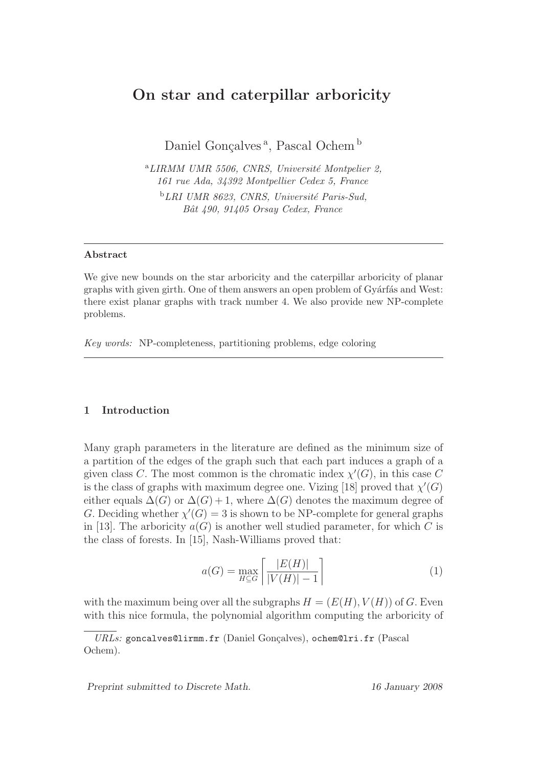# On star and caterpillar arboricity

Daniel Gonçalves<sup>a</sup>, Pascal Ochem<sup>b</sup>

 $^{a}$ LIRMM UMR 5506, CNRS, Université Montpelier 2, 161 rue Ada, 34392 Montpellier Cedex 5, France  $E_L$  UMR 8623, CNRS, Université Paris-Sud, Bˆat 490, 91405 Orsay Cedex, France

## Abstract

We give new bounds on the star arboricity and the caterpillar arboricity of planar graphs with given girth. One of them answers an open problem of Gyárfás and West: there exist planar graphs with track number 4. We also provide new NP-complete problems.

Key words: NP-completeness, partitioning problems, edge coloring

## 1 Introduction

Many graph parameters in the literature are defined as the minimum size of a partition of the edges of the graph such that each part induces a graph of a given class C. The most common is the chromatic index  $\chi'(G)$ , in this case C is the class of graphs with maximum degree one. Vizing [18] proved that  $\chi'(G)$ either equals  $\Delta(G)$  or  $\Delta(G) + 1$ , where  $\Delta(G)$  denotes the maximum degree of G. Deciding whether  $\chi'(G) = 3$  is shown to be NP-complete for general graphs in [13]. The arboricity  $a(G)$  is another well studied parameter, for which C is the class of forests. In [15], Nash-Williams proved that:

$$
a(G) = \max_{H \subseteq G} \left[ \frac{|E(H)|}{|V(H)| - 1} \right] \tag{1}
$$

with the maximum being over all the subgraphs  $H = (E(H), V(H))$  of G. Even with this nice formula, the polynomial algorithm computing the arboricity of

Preprint submitted to Discrete Math. 16 January 2008

 $URLs:$  goncalves@lirmm.fr (Daniel Gonçalves), ochem@lri.fr (Pascal Ochem).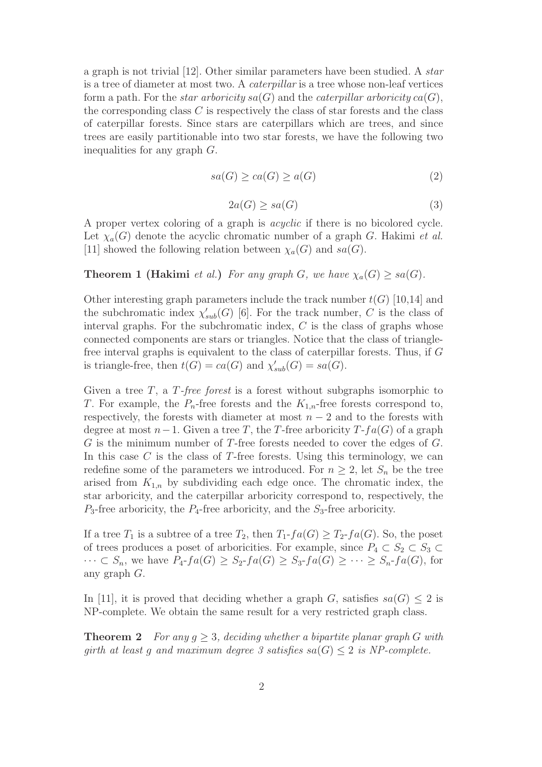a graph is not trivial [12]. Other similar parameters have been studied. A star is a tree of diameter at most two. A caterpillar is a tree whose non-leaf vertices form a path. For the *star arboricity*  $sa(G)$  and the *caterpillar arboricity*  $ca(G)$ , the corresponding class  $C$  is respectively the class of star forests and the class of caterpillar forests. Since stars are caterpillars which are trees, and since trees are easily partitionable into two star forests, we have the following two inequalities for any graph G.

$$
sa(G) \ge ca(G) \ge a(G)
$$
\n<sup>(2)</sup>

$$
2a(G) \ge sa(G) \tag{3}
$$

A proper vertex coloring of a graph is acyclic if there is no bicolored cycle. Let  $\chi_a(G)$  denote the acyclic chromatic number of a graph G. Hakimi *et al.* [11] showed the following relation between  $\chi_a(G)$  and  $sa(G)$ .

## **Theorem 1 (Hakimi** et al.) For any graph G, we have  $\chi_a(G) > sa(G)$ .

Other interesting graph parameters include the track number  $t(G)$  [10,14] and the subchromatic index  $\chi'_{sub}(G)$  [6]. For the track number, C is the class of interval graphs. For the subchromatic index,  $C$  is the class of graphs whose connected components are stars or triangles. Notice that the class of trianglefree interval graphs is equivalent to the class of caterpillar forests. Thus, if G is triangle-free, then  $t(G) = ca(G)$  and  $\chi'_{sub}(G) = sa(G)$ .

Given a tree  $T$ , a  $T$ -free forest is a forest without subgraphs isomorphic to T. For example, the  $P_n$ -free forests and the  $K_{1,n}$ -free forests correspond to, respectively, the forests with diameter at most  $n-2$  and to the forests with degree at most  $n-1$ . Given a tree T, the T-free arboricity  $T$ -fa(G) of a graph  $G$  is the minimum number of T-free forests needed to cover the edges of  $G$ . In this case  $C$  is the class of T-free forests. Using this terminology, we can redefine some of the parameters we introduced. For  $n \geq 2$ , let  $S_n$  be the tree arised from  $K_{1,n}$  by subdividing each edge once. The chromatic index, the star arboricity, and the caterpillar arboricity correspond to, respectively, the  $P_3$ -free arboricity, the  $P_4$ -free arboricity, and the  $S_3$ -free arboricity.

If a tree  $T_1$  is a subtree of a tree  $T_2$ , then  $T_1$ - $fa(G) \geq T_2$ - $fa(G)$ . So, the poset of trees produces a poset of arboricities. For example, since  $P_4 \subset S_2 \subset S_3 \subset$  $\cdots \subset S_n$ , we have  $P_4$ - $fa(G) \geq S_2$ - $fa(G) \geq S_3$ - $fa(G) \geq \cdots \geq S_n$ - $fa(G)$ , for any graph G.

In [11], it is proved that deciding whether a graph G, satisfies  $sa(G) \leq 2$  is NP-complete. We obtain the same result for a very restricted graph class.

**Theorem 2** For any  $q > 3$ , deciding whether a bipartite planar graph G with girth at least g and maximum degree 3 satisfies  $sa(G) \leq 2$  is NP-complete.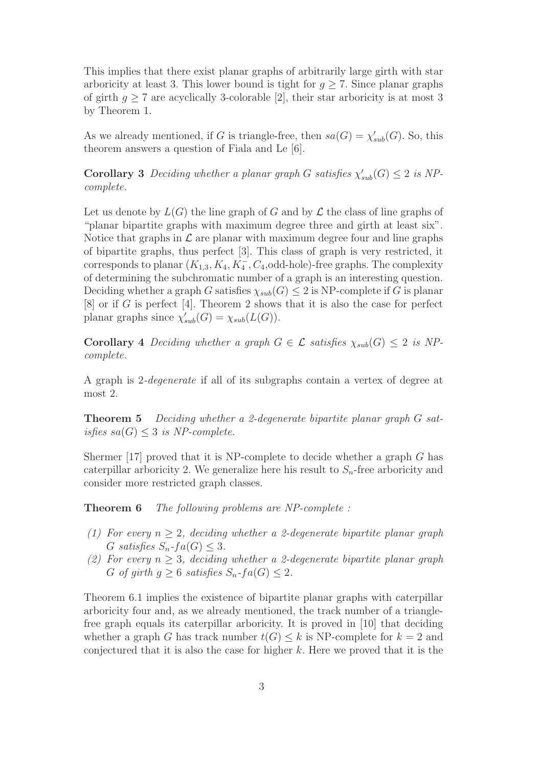This implies that there exist planar graphs of arbitrarily large girth with star arboricity at least 3. This lower bound is tight for  $g \geq 7$ . Since planar graphs of girth  $g \geq 7$  are acyclically 3-colorable [2], their star arboricity is at most 3 by Theorem 1.

As we already mentioned, if G is triangle-free, then  $sa(G) = \chi'_{sub}(G)$ . So, this theorem answers a question of Fiala and Le [6].

**Corollary 3** Deciding whether a planar graph G satisfies  $\chi'_{sub}(G) \leq 2$  is NPcomplete.

Let us denote by  $L(G)$  the line graph of G and by  $\mathcal L$  the class of line graphs of "planar bipartite graphs with maximum degree three and girth at least six". Notice that graphs in  $\mathcal L$  are planar with maximum degree four and line graphs of bipartite graphs, thus perfect [3]. This class of graph is very restricted, it corresponds to planar  $(K_{1,3}, K_4, K_4^-, C_4,$  odd-hole)-free graphs. The complexity of determining the subchromatic number of a graph is an interesting question. Deciding whether a graph G satisfies  $\chi_{sub}(G) \leq 2$  is NP-complete if G is planar  $[8]$  or if G is perfect [4]. Theorem 2 shows that it is also the case for perfect planar graphs since  $\chi'_{sub}(G) = \chi_{sub}(L(G)).$ 

Corollary 4 Deciding whether a graph  $G \in \mathcal{L}$  satisfies  $\chi_{sub}(G) \leq 2$  is NPcomplete.

A graph is 2-degenerate if all of its subgraphs contain a vertex of degree at most 2.

Theorem 5 Deciding whether a 2-degenerate bipartite planar graph G satisfies  $sa(G) \leq 3$  is NP-complete.

Shermer [17] proved that it is NP-complete to decide whether a graph  $G$  has caterpillar arboricity 2. We generalize here his result to  $S_n$ -free arboricity and consider more restricted graph classes.

Theorem 6 The following problems are NP-complete :

- (1) For every  $n \geq 2$ , deciding whether a 2-degenerate bipartite planar graph G satisfies  $S_n$ - $fa(G) \leq 3$ .
- (2) For every  $n \geq 3$ , deciding whether a 2-degenerate bipartite planar graph G of girth  $g \geq 6$  satisfies  $S_n$ -fa(G)  $\leq 2$ .

Theorem 6.1 implies the existence of bipartite planar graphs with caterpillar arboricity four and, as we already mentioned, the track number of a trianglefree graph equals its caterpillar arboricity. It is proved in [10] that deciding whether a graph G has track number  $t(G) \leq k$  is NP-complete for  $k = 2$  and conjectured that it is also the case for higher  $k$ . Here we proved that it is the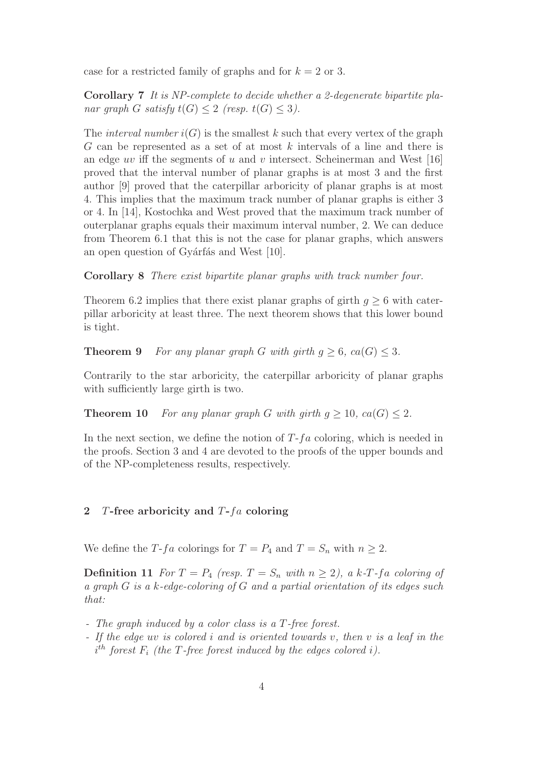case for a restricted family of graphs and for  $k = 2$  or 3.

Corollary 7 It is NP-complete to decide whether a 2-degenerate bipartite planar graph G satisfy  $t(G) \leq 2$  (resp.  $t(G) \leq 3$ ).

The *interval number*  $i(G)$  is the smallest k such that every vertex of the graph  $G$  can be represented as a set of at most  $k$  intervals of a line and there is an edge uv iff the segments of u and v intersect. Scheinerman and West  $[16]$ proved that the interval number of planar graphs is at most 3 and the first author [9] proved that the caterpillar arboricity of planar graphs is at most 4. This implies that the maximum track number of planar graphs is either 3 or 4. In [14], Kostochka and West proved that the maximum track number of outerplanar graphs equals their maximum interval number, 2. We can deduce from Theorem 6.1 that this is not the case for planar graphs, which answers an open question of Gyárfás and West [10].

Corollary 8 There exist bipartite planar graphs with track number four.

Theorem 6.2 implies that there exist planar graphs of girth  $q \geq 6$  with caterpillar arboricity at least three. The next theorem shows that this lower bound is tight.

**Theorem 9** For any planar graph G with girth  $g \geq 6$ ,  $ca(G) \leq 3$ .

Contrarily to the star arboricity, the caterpillar arboricity of planar graphs with sufficiently large girth is two.

**Theorem 10** For any planar graph G with girth  $g \ge 10$ ,  $ca(G) \le 2$ .

In the next section, we define the notion of  $T$ -fa coloring, which is needed in the proofs. Section 3 and 4 are devoted to the proofs of the upper bounds and of the NP-completeness results, respectively.

## 2 T-free arboricity and  $T$ - $fa$  coloring

We define the T-fa colorings for  $T = P_4$  and  $T = S_n$  with  $n \geq 2$ .

**Definition 11** For  $T = P_4$  (resp.  $T = S_n$  with  $n \ge 2$ ), a k-T-fa coloring of a graph G is a k-edge-coloring of G and a partial orientation of its edges such that:

- The graph induced by a color class is a T-free forest.
- If the edge uv is colored i and is oriented towards v, then v is a leaf in the  $i<sup>th</sup>$  forest  $F_i$  (the T-free forest induced by the edges colored i).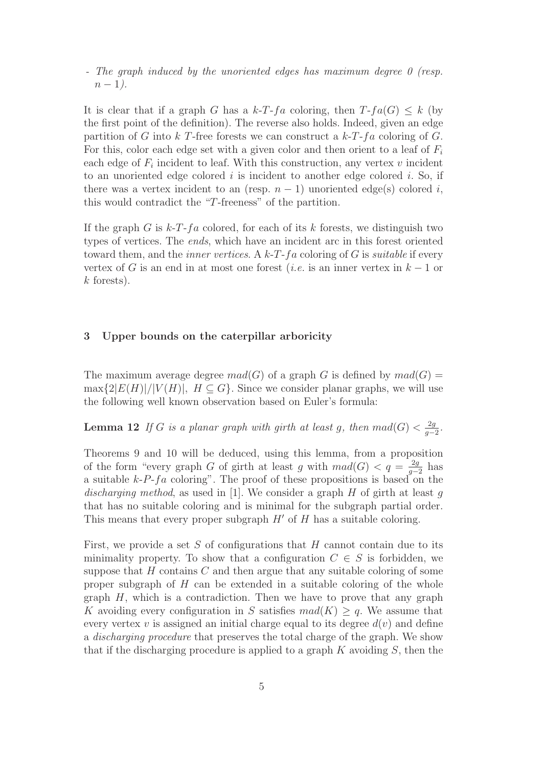- The graph induced by the unoriented edges has maximum degree 0 (resp.  $n-1$ ).

It is clear that if a graph G has a k-T-fa coloring, then  $T$ -fa(G)  $\leq k$  (by the first point of the definition). The reverse also holds. Indeed, given an edge partition of G into k T-free forests we can construct a  $k$ -T-fa coloring of G. For this, color each edge set with a given color and then orient to a leaf of  $F_i$ each edge of  $F_i$  incident to leaf. With this construction, any vertex  $v$  incident to an unoriented edge colored  $i$  is incident to another edge colored  $i$ . So, if there was a vertex incident to an (resp.  $n-1$ ) unoriented edge(s) colored i, this would contradict the "T-freeness" of the partition.

If the graph G is  $k-T-fa$  colored, for each of its k forests, we distinguish two types of vertices. The ends, which have an incident arc in this forest oriented toward them, and the *inner vertices.* A  $k$ -T-fa coloring of G is *suitable* if every vertex of G is an end in at most one forest (*i.e.* is an inner vertex in  $k-1$  or  $k$  forests).

## 3 Upper bounds on the caterpillar arboricity

The maximum average degree  $mad(G)$  of a graph G is defined by  $mad(G)$  =  $\max\{2|E(H)|/|V(H)|, H\subseteq G\}$ . Since we consider planar graphs, we will use the following well known observation based on Euler's formula:

**Lemma 12** If G is a planar graph with girth at least g, then  $mad(G) < \frac{2g}{g-1}$  $\frac{2g}{g-2}$ .

Theorems 9 and 10 will be deduced, using this lemma, from a proposition of the form "every graph G of girth at least g with  $mad(G) < q = \frac{2g}{g-1}$  $\frac{2g}{g-2}$  has a suitable  $k-P-fa$  coloring". The proof of these propositions is based on the discharging method, as used in [1]. We consider a graph  $H$  of girth at least q that has no suitable coloring and is minimal for the subgraph partial order. This means that every proper subgraph  $H'$  of  $H$  has a suitable coloring.

First, we provide a set  $S$  of configurations that  $H$  cannot contain due to its minimality property. To show that a configuration  $C \in S$  is forbidden, we suppose that  $H$  contains  $C$  and then argue that any suitable coloring of some proper subgraph of  $H$  can be extended in a suitable coloring of the whole graph  $H$ , which is a contradiction. Then we have to prove that any graph K avoiding every configuration in S satisfies  $mad(K) \geq q$ . We assume that every vertex v is assigned an initial charge equal to its degree  $d(v)$  and define a discharging procedure that preserves the total charge of the graph. We show that if the discharging procedure is applied to a graph  $K$  avoiding  $S$ , then the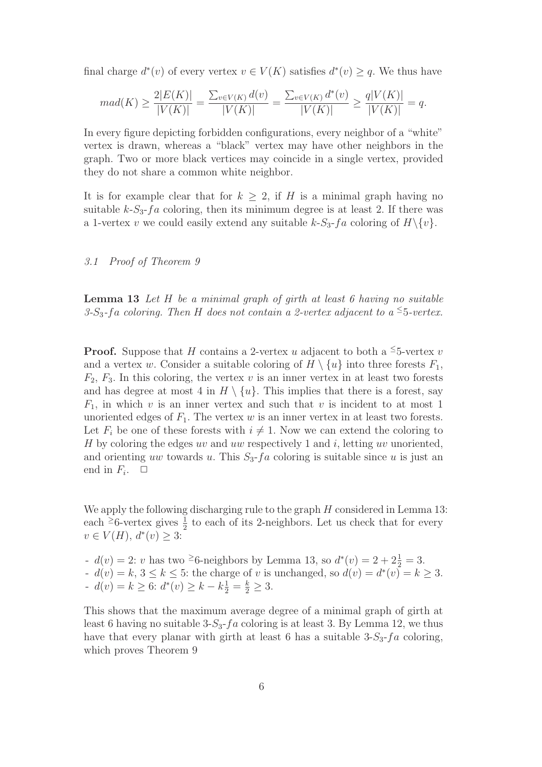final charge  $d^*(v)$  of every vertex  $v \in V(K)$  satisfies  $d^*(v) \geq q$ . We thus have

$$
mad(K) \ge \frac{2|E(K)|}{|V(K)|} = \frac{\sum_{v \in V(K)} d(v)}{|V(K)|} = \frac{\sum_{v \in V(K)} d^*(v)}{|V(K)|} \ge \frac{q|V(K)|}{|V(K)|} = q.
$$

In every figure depicting forbidden configurations, every neighbor of a "white" vertex is drawn, whereas a "black" vertex may have other neighbors in the graph. Two or more black vertices may coincide in a single vertex, provided they do not share a common white neighbor.

It is for example clear that for  $k > 2$ , if H is a minimal graph having no suitable  $k-S_3-fa$  coloring, then its minimum degree is at least 2. If there was a 1-vertex v we could easily extend any suitable  $k-S_3-f_a$  coloring of  $H\backslash \{v\}$ .

## 3.1 Proof of Theorem 9

**Lemma 13** Let  $H$  be a minimal graph of girth at least  $6$  having no suitable 3-S<sub>3</sub>-fa coloring. Then H does not contain a 2-vertex adjacent to a <sup> $\leq$ </sup>5-vertex.

**Proof.** Suppose that H contains a 2-vertex u adjacent to both a <sup>≤</sup>5-vertex v and a vertex w. Consider a suitable coloring of  $H \setminus \{u\}$  into three forests  $F_1$ ,  $F_2, F_3$ . In this coloring, the vertex v is an inner vertex in at least two forests and has degree at most 4 in  $H \setminus \{u\}$ . This implies that there is a forest, say  $F_1$ , in which v is an inner vertex and such that v is incident to at most 1 unoriented edges of  $F_1$ . The vertex w is an inner vertex in at least two forests. Let  $F_i$  be one of these forests with  $i \neq 1$ . Now we can extend the coloring to H by coloring the edges uv and uw respectively 1 and  $i$ , letting uv unoriented, and orienting uw towards u. This  $S_3$ -fa coloring is suitable since u is just an end in  $F_i$ .  $\Box$ 

We apply the following discharging rule to the graph  $H$  considered in Lemma 13: each <sup>≥</sup>6-vertex gives  $\frac{1}{2}$  to each of its 2-neighbors. Let us check that for every  $v \in V(H), d^*(v) \geq 3:$ 

-  $d(v) = 2$ : v has two <sup>2</sup>6-neighbors by Lemma 13, so  $d^*(v) = 2 + 2\frac{1}{2} = 3$ .  $d(v) = k, 3 \le k \le 5$ : the charge of v is unchanged, so  $d(v) = d^*(v) = k \ge 3$ . -  $d(v) = k \ge 6$ :  $d^*(v) \ge k - k\frac{1}{2} = \frac{k}{2} \ge 3$ .

This shows that the maximum average degree of a minimal graph of girth at least 6 having no suitable  $3-S_3-f_a$  coloring is at least 3. By Lemma 12, we thus have that every planar with girth at least 6 has a suitable  $3-S_3-f_a$  coloring, which proves Theorem 9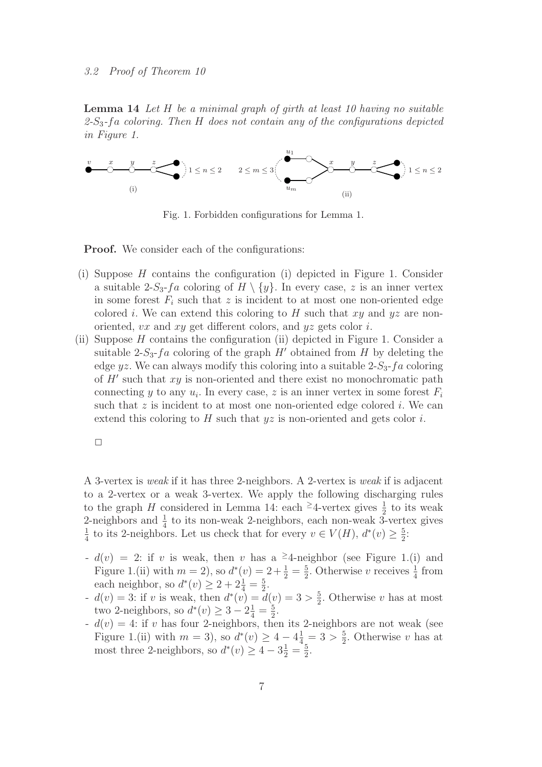#### 3.2 Proof of Theorem 10

Lemma 14 Let H be a minimal graph of girth at least 10 having no suitable  $2-S_3$ -fa coloring. Then H does not contain any of the configurations depicted in Figure 1.



Fig. 1. Forbidden configurations for Lemma 1.

**Proof.** We consider each of the configurations:

- (i) Suppose H contains the configuration (i) depicted in Figure 1. Consider a suitable 2-S<sub>3</sub>-fa coloring of  $H \setminus \{y\}$ . In every case, z is an inner vertex in some forest  $F_i$  such that z is incident to at most one non-oriented edge colored i. We can extend this coloring to H such that  $xy$  and  $yz$  are nonoriented, vx and xy get different colors, and yz gets color i.
- (ii) Suppose H contains the configuration (ii) depicted in Figure 1. Consider a suitable 2- $S_3$ - $fa$  coloring of the graph  $H'$  obtained from  $H$  by deleting the edge yz. We can always modify this coloring into a suitable  $2-S_3-f_a$  coloring of  $H'$  such that  $xy$  is non-oriented and there exist no monochromatic path connecting y to any  $u_i$ . In every case, z is an inner vertex in some forest  $F_i$ such that  $z$  is incident to at most one non-oriented edge colored i. We can extend this coloring to  $H$  such that  $yz$  is non-oriented and gets color  $i$ .

| ___ |  |  |
|-----|--|--|

A 3-vertex is weak if it has three 2-neighbors. A 2-vertex is weak if is adjacent to a 2-vertex or a weak 3-vertex. We apply the following discharging rules to the graph H considered in Lemma 14: each <sup>≥</sup>4-vertex gives  $\frac{1}{2}$  to its weak 2-neighbors and  $\frac{1}{4}$  to its non-weak 2-neighbors, each non-weak 3-vertex gives 1  $\frac{1}{4}$  to its 2-neighbors. Let us check that for every  $v \in V(H)$ ,  $d^*(v) \geq \frac{5}{2}$  $\frac{5}{2}$ :

- $d(v) = 2$ : if v is weak, then v has a <sup>2</sup>4-neighbor (see Figure 1.(i) and Figure 1.(ii) with  $m = 2$ , so  $d^*(v) = 2 + \frac{1}{2} = \frac{5}{2}$  $\frac{5}{2}$ . Otherwise v receives  $\frac{1}{4}$  from each neighbor, so  $d^*(v) \ge 2 + 2\frac{1}{4} = \frac{5}{2}$ .
- $d(v) = 3$ : if v is weak, then  $d^*(v) = d(v) = 3 > \frac{5}{2}$  $\frac{5}{2}$ . Otherwise v has at most two 2-neighbors, so  $d^*(v) \ge 3 - 2\frac{1}{4} = \frac{5}{2}$  $\frac{5}{2}$ .
- $-d(v) = 4$ : if v has four 2-neighbors, then its 2-neighbors are not weak (see Figure 1.(ii) with  $m = 3$ , so  $d^*(v) \geq 4 - 4\frac{1}{4} = 3 > \frac{5}{2}$  $\frac{5}{2}$ . Otherwise v has at most three 2-neighbors, so  $d^*(v) \geq 4 - 3\frac{1}{2} = \frac{5}{2}$  $\frac{5}{2}$ .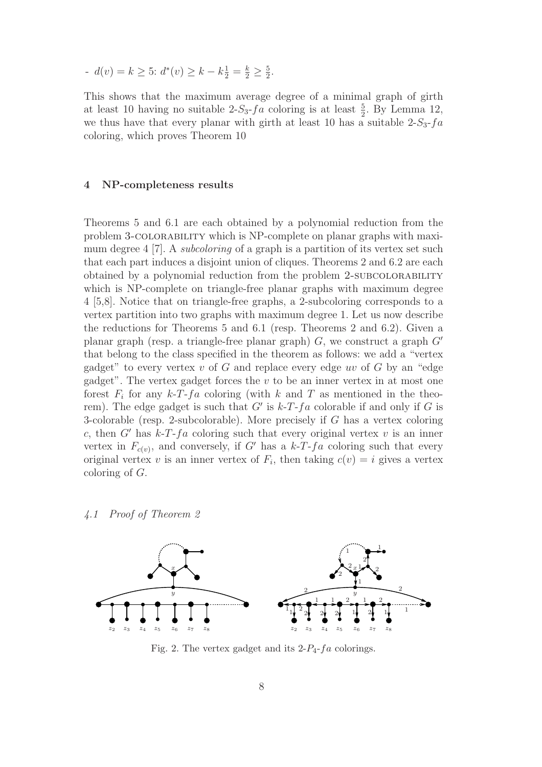-  $d(v) = k \ge 5$ :  $d^*(v) \ge k - k\frac{1}{2} = \frac{k}{2} \ge \frac{5}{2}$  $\frac{5}{2}$ .

This shows that the maximum average degree of a minimal graph of girth at least 10 having no suitable  $2-S_3-fa$  coloring is at least  $\frac{5}{2}$ . By Lemma 12, we thus have that every planar with girth at least 10 has a suitable  $2-S_3-fa$ coloring, which proves Theorem 10

## 4 NP-completeness results

Theorems 5 and 6.1 are each obtained by a polynomial reduction from the problem 3-colorability which is NP-complete on planar graphs with maximum degree 4 [7]. A *subcoloring* of a graph is a partition of its vertex set such that each part induces a disjoint union of cliques. Theorems 2 and 6.2 are each obtained by a polynomial reduction from the problem 2-subcolorability which is NP-complete on triangle-free planar graphs with maximum degree 4 [5,8]. Notice that on triangle-free graphs, a 2-subcoloring corresponds to a vertex partition into two graphs with maximum degree 1. Let us now describe the reductions for Theorems 5 and 6.1 (resp. Theorems 2 and 6.2). Given a planar graph (resp. a triangle-free planar graph)  $G$ , we construct a graph  $G'$ that belong to the class specified in the theorem as follows: we add a "vertex gadget" to every vertex  $v$  of  $G$  and replace every edge uv of  $G$  by an "edge gadget". The vertex gadget forces the  $v$  to be an inner vertex in at most one forest  $F_i$  for any  $k$ -T-fa coloring (with k and T as mentioned in the theorem). The edge gadget is such that  $G'$  is  $k$ -T-fa colorable if and only if G is 3-colorable (resp. 2-subcolorable). More precisely if G has a vertex coloring c, then G' has  $k-T-fa$  coloring such that every original vertex v is an inner vertex in  $F_{c(v)}$ , and conversely, if G' has a  $k$ -T-fa coloring such that every original vertex v is an inner vertex of  $F_i$ , then taking  $c(v) = i$  gives a vertex coloring of G.

4.1 Proof of Theorem 2



Fig. 2. The vertex gadget and its  $2-P_4$ -fa colorings.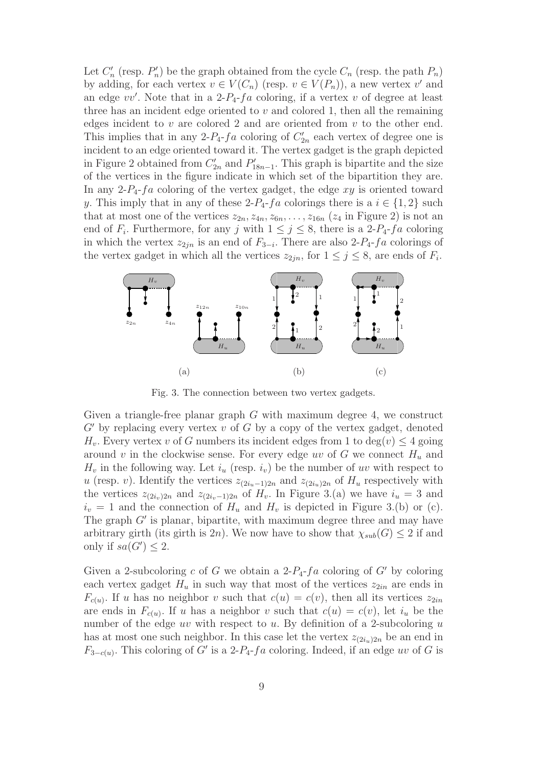Let  $C'_n$  (resp.  $P'_n$ ) be the graph obtained from the cycle  $C_n$  (resp. the path  $P_n$ ) by adding, for each vertex  $v \in V(C_n)$  (resp.  $v \in V(P_n)$ ), a new vertex  $v'$  and an edge  $vv'$ . Note that in a 2- $P_4$ - $fa$  coloring, if a vertex v of degree at least three has an incident edge oriented to  $v$  and colored 1, then all the remaining edges incident to  $v$  are colored 2 and are oriented from  $v$  to the other end. This implies that in any 2- $P_4$ - $fa$  coloring of  $C'_{2n}$  each vertex of degree one is incident to an edge oriented toward it. The vertex gadget is the graph depicted in Figure 2 obtained from  $C'_{2n}$  and  $P'_{18n-1}$ . This graph is bipartite and the size of the vertices in the figure indicate in which set of the bipartition they are. In any 2- $P_4$ - $fa$  coloring of the vertex gadget, the edge  $xy$  is oriented toward y. This imply that in any of these  $2-P_4$ -fa colorings there is a  $i \in \{1,2\}$  such that at most one of the vertices  $z_{2n}, z_{4n}, z_{6n}, \ldots, z_{16n}$  ( $z_4$  in Figure 2) is not an end of  $F_i$ . Furthermore, for any j with  $1 \leq j \leq 8$ , there is a 2- $P_4$ - $fa$  coloring in which the vertex  $z_{2jn}$  is an end of  $F_{3-i}$ . There are also 2- $P_4$ - $fa$  colorings of the vertex gadget in which all the vertices  $z_{2jn}$ , for  $1 \leq j \leq 8$ , are ends of  $F_i$ .



Fig. 3. The connection between two vertex gadgets.

Given a triangle-free planar graph  $G$  with maximum degree 4, we construct  $G'$  by replacing every vertex v of G by a copy of the vertex gadget, denoted  $H_v$ . Every vertex v of G numbers its incident edges from 1 to  $deg(v) \leq 4$  going around v in the clockwise sense. For every edge uv of G we connect  $H_u$  and  $H_v$  in the following way. Let  $i_u$  (resp.  $i_v$ ) be the number of uv with respect to u (resp. v). Identify the vertices  $z_{(2i_u-1)2n}$  and  $z_{(2i_u)2n}$  of  $H_u$  respectively with the vertices  $z_{(2i_v)2n}$  and  $z_{(2i_v-1)2n}$  of  $H_v$ . In Figure 3.(a) we have  $i_u = 3$  and  $i_v = 1$  and the connection of  $H_u$  and  $H_v$  is depicted in Figure 3.(b) or (c). The graph  $G'$  is planar, bipartite, with maximum degree three and may have arbitrary girth (its girth is 2n). We now have to show that  $\chi_{sub}(G) \leq 2$  if and only if  $sa(G') \leq 2$ .

Given a 2-subcoloring c of G we obtain a  $2-P_4$ -fa coloring of G' by coloring each vertex gadget  $H_u$  in such way that most of the vertices  $z_{2in}$  are ends in  $F_{c(u)}$ . If u has no neighbor v such that  $c(u) = c(v)$ , then all its vertices  $z_{2in}$ are ends in  $F_{c(u)}$ . If u has a neighbor v such that  $c(u) = c(v)$ , let  $i_u$  be the number of the edge uv with respect to u. By definition of a 2-subcoloring  $u$ has at most one such neighbor. In this case let the vertex  $z_{(2i_1,2n)}$  be an end in  $F_{3-c(u)}$ . This coloring of G' is a 2- $P_4$ -fa coloring. Indeed, if an edge uv of G is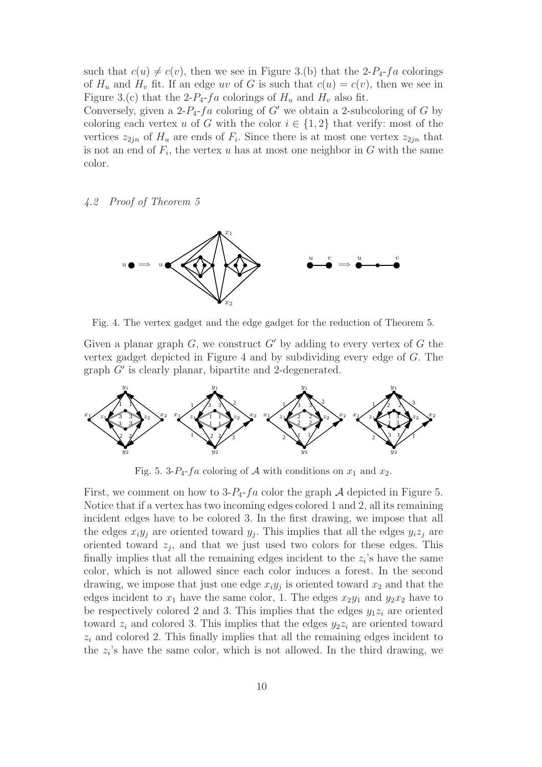such that  $c(u) \neq c(v)$ , then we see in Figure 3.(b) that the 2-P<sub>4</sub>-fa colorings of  $H_u$  and  $H_v$  fit. If an edge uv of G is such that  $c(u) = c(v)$ , then we see in Figure 3.(c) that the 2- $P_4$ - $fa$  colorings of  $H_u$  and  $H_v$  also fit.

Conversely, given a 2- $P_4$ -fa coloring of G' we obtain a 2-subcoloring of G by coloring each vertex u of G with the color  $i \in \{1,2\}$  that verify: most of the vertices  $z_{2jn}$  of  $H_u$  are ends of  $F_i$ . Since there is at most one vertex  $z_{2jn}$  that is not an end of  $F_i$ , the vertex u has at most one neighbor in G with the same color.

## 4.2 Proof of Theorem 5



Fig. 4. The vertex gadget and the edge gadget for the reduction of Theorem 5.

Given a planar graph  $G$ , we construct  $G'$  by adding to every vertex of  $G$  the vertex gadget depicted in Figure 4 and by subdividing every edge of G. The graph G′ is clearly planar, bipartite and 2-degenerated.



Fig. 5. 3- $P_4$ -fa coloring of A with conditions on  $x_1$  and  $x_2$ .

First, we comment on how to  $3-P_4$ -fa color the graph A depicted in Figure 5. Notice that if a vertex has two incoming edges colored 1 and 2, all its remaining incident edges have to be colored 3. In the first drawing, we impose that all the edges  $x_i y_j$  are oriented toward  $y_j$ . This implies that all the edges  $y_i z_j$  are oriented toward  $z_j$ , and that we just used two colors for these edges. This finally implies that all the remaining edges incident to the  $z_i$ 's have the same color, which is not allowed since each color induces a forest. In the second drawing, we impose that just one edge  $x_i y_j$  is oriented toward  $x_2$  and that the edges incident to  $x_1$  have the same color, 1. The edges  $x_2y_1$  and  $y_2x_2$  have to be respectively colored 2 and 3. This implies that the edges  $y_1z_i$  are oriented toward  $z_i$  and colored 3. This implies that the edges  $y_2z_i$  are oriented toward  $z<sub>i</sub>$  and colored 2. This finally implies that all the remaining edges incident to the  $z_i$ 's have the same color, which is not allowed. In the third drawing, we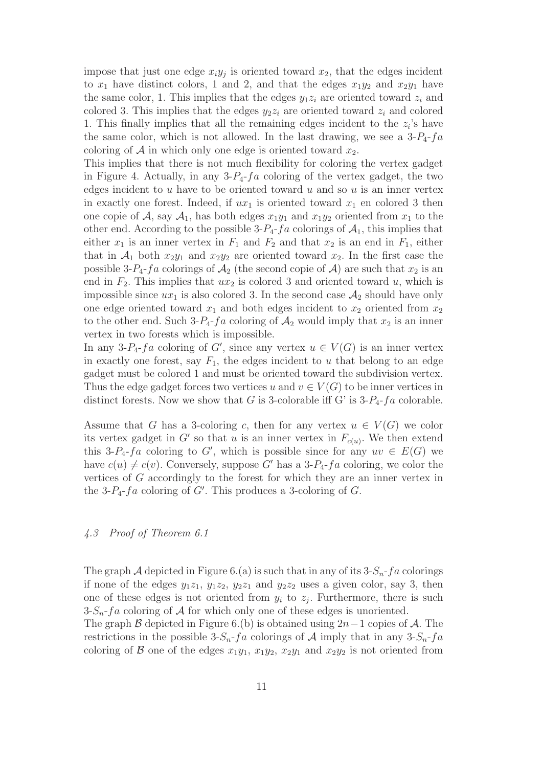impose that just one edge  $x_i y_j$  is oriented toward  $x_2$ , that the edges incident to  $x_1$  have distinct colors, 1 and 2, and that the edges  $x_1y_2$  and  $x_2y_1$  have the same color, 1. This implies that the edges  $y_1z_i$  are oriented toward  $z_i$  and colored 3. This implies that the edges  $y_2z_i$  are oriented toward  $z_i$  and colored 1. This finally implies that all the remaining edges incident to the  $z_i$ 's have the same color, which is not allowed. In the last drawing, we see a  $3-P_4-fa$ coloring of A in which only one edge is oriented toward  $x_2$ .

This implies that there is not much flexibility for coloring the vertex gadget in Figure 4. Actually, in any  $3-P_4$ - $fa$  coloring of the vertex gadget, the two edges incident to  $u$  have to be oriented toward  $u$  and so  $u$  is an inner vertex in exactly one forest. Indeed, if  $ux_1$  is oriented toward  $x_1$  en colored 3 then one copie of A, say  $A_1$ , has both edges  $x_1y_1$  and  $x_1y_2$  oriented from  $x_1$  to the other end. According to the possible  $3-P_4-f_a$  colorings of  $\mathcal{A}_1$ , this implies that either  $x_1$  is an inner vertex in  $F_1$  and  $F_2$  and that  $x_2$  is an end in  $F_1$ , either that in  $\mathcal{A}_1$  both  $x_2y_1$  and  $x_2y_2$  are oriented toward  $x_2$ . In the first case the possible 3-P<sub>4</sub>-fa colorings of  $A_2$  (the second copie of A) are such that  $x_2$  is an end in  $F_2$ . This implies that  $ux_2$  is colored 3 and oriented toward u, which is impossible since  $ux_1$  is also colored 3. In the second case  $\mathcal{A}_2$  should have only one edge oriented toward  $x_1$  and both edges incident to  $x_2$  oriented from  $x_2$ to the other end. Such  $3-P_4-fa$  coloring of  $\mathcal{A}_2$  would imply that  $x_2$  is an inner vertex in two forests which is impossible.

In any 3-P<sub>4</sub>-fa coloring of G', since any vertex  $u \in V(G)$  is an inner vertex in exactly one forest, say  $F_1$ , the edges incident to u that belong to an edge gadget must be colored 1 and must be oriented toward the subdivision vertex. Thus the edge gadget forces two vertices u and  $v \in V(G)$  to be inner vertices in distinct forests. Now we show that G is 3-colorable iff G' is  $3-P_4$ -fa colorable.

Assume that G has a 3-coloring c, then for any vertex  $u \in V(G)$  we color its vertex gadget in G' so that u is an inner vertex in  $F_{c(u)}$ . We then extend this 3-P<sub>4</sub>-fa coloring to G', which is possible since for any  $uv \in E(G)$  we have  $c(u) \neq c(v)$ . Conversely, suppose G' has a 3-P<sub>4</sub>-fa coloring, we color the vertices of G accordingly to the forest for which they are an inner vertex in the 3- $P_4$ - $fa$  coloring of  $G'$ . This produces a 3-coloring of  $G$ .

## 4.3 Proof of Theorem 6.1

The graph A depicted in Figure 6.(a) is such that in any of its  $3-S_n-f_a$  colorings if none of the edges  $y_1z_1$ ,  $y_1z_2$ ,  $y_2z_1$  and  $y_2z_2$  uses a given color, say 3, then one of these edges is not oriented from  $y_i$  to  $z_j$ . Furthermore, there is such  $3-S_n-f_a$  coloring of A for which only one of these edges is unoriented.

The graph B depicted in Figure 6.(b) is obtained using  $2n-1$  copies of A. The restrictions in the possible 3- $S_n$ -fa colorings of A imply that in any 3- $S_n$ -fa coloring of B one of the edges  $x_1y_1, x_1y_2, x_2y_1$  and  $x_2y_2$  is not oriented from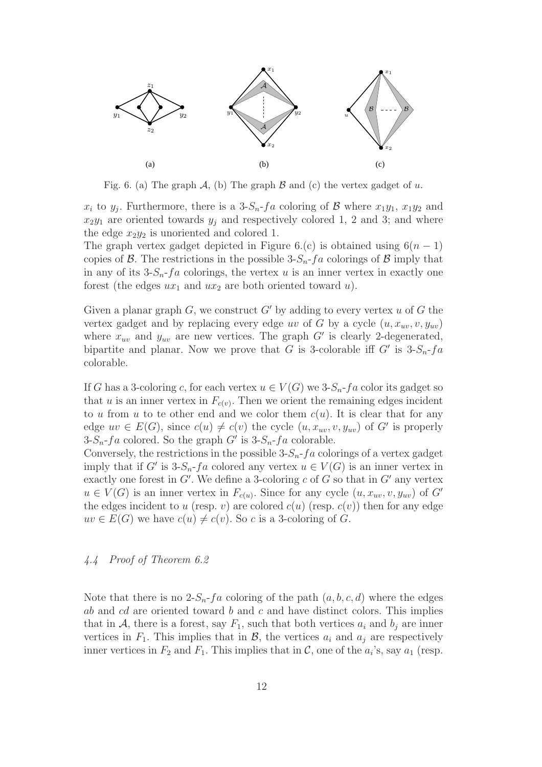

Fig. 6. (a) The graph  $\mathcal{A}$ , (b) The graph  $\mathcal{B}$  and (c) the vertex gadget of u.

 $x_i$  to  $y_j$ . Furthermore, there is a 3- $S_n$ - $fa$  coloring of  $B$  where  $x_1y_1$ ,  $x_1y_2$  and  $x_2y_1$  are oriented towards  $y_j$  and respectively colored 1, 2 and 3; and where the edge  $x_2y_2$  is unoriented and colored 1.

The graph vertex gadget depicted in Figure 6.(c) is obtained using  $6(n-1)$ copies of  $\beta$ . The restrictions in the possible 3- $S_n$ -fa colorings of  $\beta$  imply that in any of its  $3-S_n-f_a$  colorings, the vertex u is an inner vertex in exactly one forest (the edges  $ux_1$  and  $ux_2$  are both oriented toward u).

Given a planar graph  $G$ , we construct  $G'$  by adding to every vertex u of G the vertex gadget and by replacing every edge uv of G by a cycle  $(u, x_{uv}, v, y_{uv})$ where  $x_{uv}$  and  $y_{uv}$  are new vertices. The graph  $G'$  is clearly 2-degenerated, bipartite and planar. Now we prove that G is 3-colorable iff  $G'$  is  $3-S_n-f_a$ colorable.

If G has a 3-coloring c, for each vertex  $u \in V(G)$  we  $3\text{-}S_n$ -fa color its gadget so that u is an inner vertex in  $F_{c(v)}$ . Then we orient the remaining edges incident to u from u to te other end and we color them  $c(u)$ . It is clear that for any edge  $uv \in E(G)$ , since  $c(u) \neq c(v)$  the cycle  $(u, x_{uv}, v, y_{uv})$  of  $G'$  is properly  $3-S_n-fa$  colored. So the graph G' is  $3-S_n-fa$  colorable.

Conversely, the restrictions in the possible  $3-S_n-f_a$  colorings of a vertex gadget imply that if G' is  $3-S_n$ -fa colored any vertex  $u \in V(G)$  is an inner vertex in exactly one forest in  $G'$ . We define a 3-coloring c of G so that in  $G'$  any vertex  $u \in V(G)$  is an inner vertex in  $F_{c(u)}$ . Since for any cycle  $(u, x_{uv}, v, y_{uv})$  of G' the edges incident to u (resp. v) are colored  $c(u)$  (resp.  $c(v)$ ) then for any edge  $uv \in E(G)$  we have  $c(u) \neq c(v)$ . So c is a 3-coloring of G.

## 4.4 Proof of Theorem 6.2

Note that there is no  $2-S_n-f_a$  coloring of the path  $(a,b,c,d)$  where the edges ab and cd are oriented toward b and c and have distinct colors. This implies that in A, there is a forest, say  $F_1$ , such that both vertices  $a_i$  and  $b_j$  are inner vertices in  $F_1$ . This implies that in  $\mathcal{B}$ , the vertices  $a_i$  and  $a_j$  are respectively inner vertices in  $F_2$  and  $F_1$ . This implies that in  $\mathcal{C}$ , one of the  $a_i$ 's, say  $a_1$  (resp.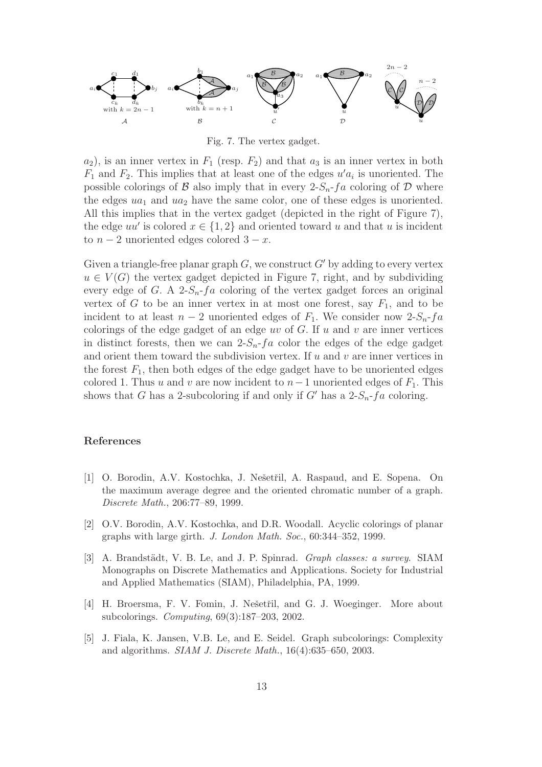

Fig. 7. The vertex gadget.

 $a_2$ ), is an inner vertex in  $F_1$  (resp.  $F_2$ ) and that  $a_3$  is an inner vertex in both  $F_1$  and  $F_2$ . This implies that at least one of the edges  $u'a_i$  is unoriented. The possible colorings of B also imply that in every  $2-S_n-f_a$  coloring of D where the edges  $ua_1$  and  $ua_2$  have the same color, one of these edges is unoriented. All this implies that in the vertex gadget (depicted in the right of Figure 7), the edge  $uu'$  is colored  $x \in \{1,2\}$  and oriented toward u and that u is incident to  $n-2$  unoriented edges colored  $3-x$ .

Given a triangle-free planar graph  $G$ , we construct  $G'$  by adding to every vertex  $u \in V(G)$  the vertex gadget depicted in Figure 7, right, and by subdividing every edge of G. A 2- $S_n$ -fa coloring of the vertex gadget forces an original vertex of G to be an inner vertex in at most one forest, say  $F_1$ , and to be incident to at least  $n-2$  unoriented edges of  $F_1$ . We consider now 2- $S_n$ -fa colorings of the edge gadget of an edge uv of  $G$ . If u and v are inner vertices in distinct forests, then we can  $2-S_n-f_a$  color the edges of the edge gadget and orient them toward the subdivision vertex. If  $u$  and  $v$  are inner vertices in the forest  $F_1$ , then both edges of the edge gadget have to be unoriented edges colored 1. Thus u and v are now incident to  $n-1$  unoriented edges of  $F_1$ . This shows that G has a 2-subcoloring if and only if G' has a  $2-S_n-f_a$  coloring.

#### References

- [1] O. Borodin, A.V. Kostochka, J. Nešetřil, A. Raspaud, and E. Sopena. On the maximum average degree and the oriented chromatic number of a graph. Discrete Math., 206:77–89, 1999.
- [2] O.V. Borodin, A.V. Kostochka, and D.R. Woodall. Acyclic colorings of planar graphs with large girth. J. London Math. Soc., 60:344–352, 1999.
- [3] A. Brandstädt, V. B. Le, and J. P. Spinrad. Graph classes: a survey. SIAM Monographs on Discrete Mathematics and Applications. Society for Industrial and Applied Mathematics (SIAM), Philadelphia, PA, 1999.
- [4] H. Broersma, F. V. Fomin, J. Nešetřil, and G. J. Woeginger. More about subcolorings. Computing, 69(3):187–203, 2002.
- [5] J. Fiala, K. Jansen, V.B. Le, and E. Seidel. Graph subcolorings: Complexity and algorithms. SIAM J. Discrete Math., 16(4):635–650, 2003.